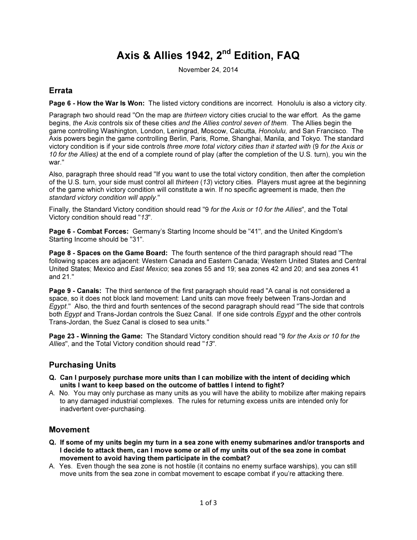# Axis & Allies 1942, 2<sup>nd</sup> Edition, FAQ

November 24, 2014

## Errata

Page 6 - How the War Is Won: The listed victory conditions are incorrect. Honolulu is also a victory city.

Paragraph two should read "On the map are *thirteen* victory cities crucial to the war effort. As the game begins, the Axis controls six of these cities and the Allies control seven of them. The Allies begin the game controlling Washington, London, Leningrad, Moscow, Calcutta, Honolulu, and San Francisco. The Axis powers begin the game controlling Berlin, Paris, Rome, Shanghai, Manila, and Tokyo. The standard victory condition is if your side controls three more total victory cities than it started with (9 for the Axis or 10 for the Allies) at the end of a complete round of play (after the completion of the U.S. turn), you win the war."

Also, paragraph three should read "If you want to use the total victory condition, then after the completion of the U.S. turn, your side must control all thirteen (13) victory cities. Players must agree at the beginning of the game which victory condition will constitute a win. If no specific agreement is made, then the standard victory condition will apply."

Finally, the Standard Victory condition should read "9 for the Axis or 10 for the Allies", and the Total Victory condition should read "13".

Page 6 - Combat Forces: Germany's Starting Income should be "41", and the United Kingdom's Starting Income should be "31".

Page 8 - Spaces on the Game Board: The fourth sentence of the third paragraph should read "The following spaces are adjacent: Western Canada and Eastern Canada; Western United States and Central United States; Mexico and East Mexico; sea zones 55 and 19; sea zones 42 and 20; and sea zones 41 and 21."

Page 9 - Canals: The third sentence of the first paragraph should read "A canal is not considered a space, so it does not block land movement: Land units can move freely between Trans-Jordan and Egypt." Also, the third and fourth sentences of the second paragraph should read "The side that controls both Egypt and Trans-Jordan controls the Suez Canal. If one side controls Egypt and the other controls Trans-Jordan, the Suez Canal is closed to sea units."

Page 23 - Winning the Game: The Standard Victory condition should read "9 for the Axis or 10 for the Allies", and the Total Victory condition should read "13".

# Purchasing Units

- Q. Can I purposely purchase more units than I can mobilize with the intent of deciding which units I want to keep based on the outcome of battles I intend to fight?
- A. No. You may only purchase as many units as you will have the ability to mobilize after making repairs to any damaged industrial complexes. The rules for returning excess units are intended only for inadvertent over-purchasing.

#### Movement

- Q. If some of my units begin my turn in a sea zone with enemy submarines and/or transports and I decide to attack them, can I move some or all of my units out of the sea zone in combat movement to avoid having them participate in the combat?
- A. Yes. Even though the sea zone is not hostile (it contains no enemy surface warships), you can still move units from the sea zone in combat movement to escape combat if you're attacking there.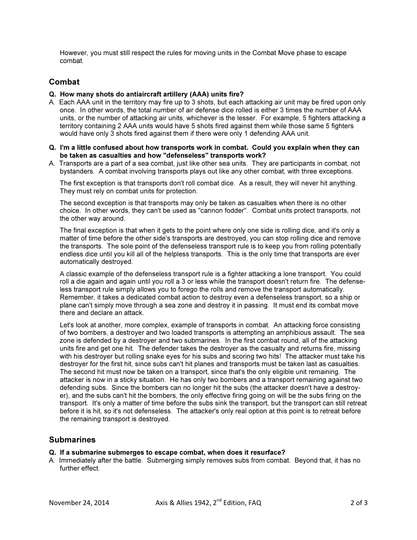However, you must still respect the rules for moving units in the Combat Move phase to escape combat.

## Combat

#### Q. How many shots do antiaircraft artillery (AAA) units fire?

- A. Each AAA unit in the territory may fire up to 3 shots, but each attacking air unit may be fired upon only once. In other words, the total number of air defense dice rolled is either 3 times the number of AAA units, or the number of attacking air units, whichever is the lesser. For example, 5 fighters attacking a territory containing 2 AAA units would have 5 shots fired against them while those same 5 fighters would have only 3 shots fired against them if there were only 1 defending AAA unit.
- Q. I'm a little confused about how transports work in combat. Could you explain when they can be taken as casualties and how "defenseless" transports work?
- A. Transports are a part of a sea combat, just like other sea units. They are participants in combat, not bystanders. A combat involving transports plays out like any other combat, with three exceptions.

The first exception is that transports don't roll combat dice. As a result, they will never hit anything. They must rely on combat units for protection.

The second exception is that transports may only be taken as casualties when there is no other choice. In other words, they can't be used as "cannon fodder". Combat units protect transports, not the other way around.

The final exception is that when it gets to the point where only one side is rolling dice, and it's only a matter of time before the other side's transports are destroyed, you can stop rolling dice and remove the transports. The sole point of the defenseless transport rule is to keep you from rolling potentially endless dice until you kill all of the helpless transports. This is the only time that transports are ever automatically destroyed.

A classic example of the defenseless transport rule is a fighter attacking a lone transport. You could roll a die again and again until you roll a 3 or less while the transport doesn't return fire. The defenseless transport rule simply allows you to forego the rolls and remove the transport automatically. Remember, it takes a dedicated combat action to destroy even a defenseless transport, so a ship or plane can't simply move through a sea zone and destroy it in passing. It must end its combat move there and declare an attack.

Let's look at another, more complex, example of transports in combat. An attacking force consisting of two bombers, a destroyer and two loaded transports is attempting an amphibious assault. The sea zone is defended by a destroyer and two submarines. In the first combat round, all of the attacking units fire and get one hit. The defender takes the destroyer as the casualty and returns fire, missing with his destroyer but rolling snake eyes for his subs and scoring two hits! The attacker must take his destroyer for the first hit, since subs can't hit planes and transports must be taken last as casualties. The second hit must now be taken on a transport, since that's the only eligible unit remaining. The attacker is now in a sticky situation. He has only two bombers and a transport remaining against two defending subs. Since the bombers can no longer hit the subs (the attacker doesn't have a destroyer), and the subs can't hit the bombers, the only effective firing going on will be the subs firing on the transport. It's only a matter of time before the subs sink the transport, but the transport can still retreat before it is hit, so it's not defenseless. The attacker's only real option at this point is to retreat before the remaining transport is destroyed.

### **Submarines**

#### Q. If a submarine submerges to escape combat, when does it resurface?

A. Immediately after the battle. Submerging simply removes subs from combat. Beyond that, it has no further effect.